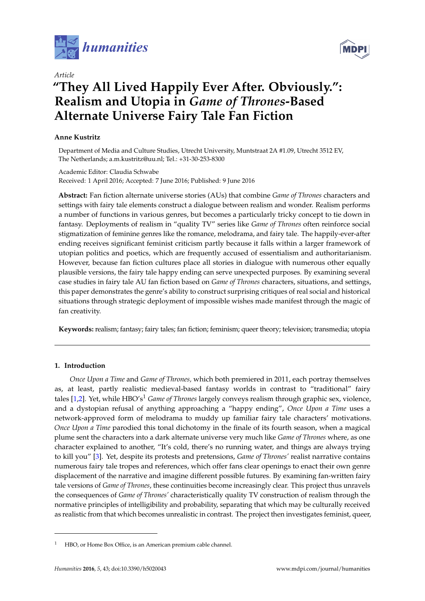

*Article*

# **"They All Lived Happily Ever After. Obviously.": Realism and Utopia in** *Game of Thrones***-Based Alternate Universe Fairy Tale Fan Fiction**

## **Anne Kustritz**

Department of Media and Culture Studies, Utrecht University, Muntstraat 2A #1.09, Utrecht 3512 EV, The Netherlands; a.m.kustritz@uu.nl; Tel.: +31-30-253-8300

## Academic Editor: Claudia Schwabe Received: 1 April 2016; Accepted: 7 June 2016; Published: 9 June 2016

**Abstract:** Fan fiction alternate universe stories (AUs) that combine *Game of Thrones* characters and settings with fairy tale elements construct a dialogue between realism and wonder. Realism performs a number of functions in various genres, but becomes a particularly tricky concept to tie down in fantasy. Deployments of realism in "quality TV" series like *Game of Thrones* often reinforce social stigmatization of feminine genres like the romance, melodrama, and fairy tale. The happily-ever-after ending receives significant feminist criticism partly because it falls within a larger framework of utopian politics and poetics, which are frequently accused of essentialism and authoritarianism. However, because fan fiction cultures place all stories in dialogue with numerous other equally plausible versions, the fairy tale happy ending can serve unexpected purposes. By examining several case studies in fairy tale AU fan fiction based on *Game of Thrones* characters, situations, and settings, this paper demonstrates the genre's ability to construct surprising critiques of real social and historical situations through strategic deployment of impossible wishes made manifest through the magic of fan creativity.

**Keywords:** realism; fantasy; fairy tales; fan fiction; feminism; queer theory; television; transmedia; utopia

## **1. Introduction**

*Once Upon a Time* and *Game of Thrones,* which both premiered in 2011, each portray themselves as, at least, partly realistic medieval-based fantasy worlds in contrast to "traditional" fairy tales [\[1](#page-12-0)[,2\]](#page-12-1). Yet, while HBO's<sup>1</sup> *Game of Thrones* largely conveys realism through graphic sex, violence, and a dystopian refusal of anything approaching a "happy ending", *Once Upon a Time* uses a network-approved form of melodrama to muddy up familiar fairy tale characters' motivations. *Once Upon a Time* parodied this tonal dichotomy in the finale of its fourth season, when a magical plume sent the characters into a dark alternate universe very much like *Game of Thrones* where, as one character explained to another, "It's cold, there's no running water, and things are always trying to kill you" [\[3\]](#page-12-2). Yet, despite its protests and pretensions, *Game of Thrones'* realist narrative contains numerous fairy tale tropes and references, which offer fans clear openings to enact their own genre displacement of the narrative and imagine different possible futures. By examining fan-written fairy tale versions of *Game of Thrones*, these continuities become increasingly clear. This project thus unravels the consequences of *Game of Thrones'* characteristically quality TV construction of realism through the normative principles of intelligibility and probability, separating that which may be culturally received as realistic from that which becomes unrealistic in contrast. The project then investigates feminist, queer,



HBO, or Home Box Office, is an American premium cable channel.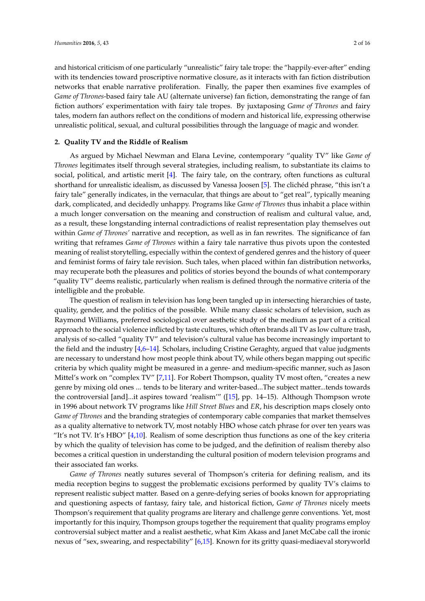and historical criticism of one particularly "unrealistic" fairy tale trope: the "happily-ever-after" ending with its tendencies toward proscriptive normative closure, as it interacts with fan fiction distribution networks that enable narrative proliferation. Finally, the paper then examines five examples of *Game of Thrones*-based fairy tale AU (alternate universe) fan fiction, demonstrating the range of fan fiction authors' experimentation with fairy tale tropes. By juxtaposing *Game of Thrones* and fairy tales, modern fan authors reflect on the conditions of modern and historical life, expressing otherwise unrealistic political, sexual, and cultural possibilities through the language of magic and wonder.

#### **2. Quality TV and the Riddle of Realism**

As argued by Michael Newman and Elana Levine, contemporary "quality TV" like *Game of Thrones* legitimates itself through several strategies, including realism, to substantiate its claims to social, political, and artistic merit [\[4\]](#page-12-3). The fairy tale, on the contrary, often functions as cultural shorthand for unrealistic idealism, as discussed by Vanessa Joosen [\[5\]](#page-12-4). The clichéd phrase, "this isn't a fairy tale" generally indicates, in the vernacular, that things are about to "get real", typically meaning dark, complicated, and decidedly unhappy. Programs like *Game of Thrones* thus inhabit a place within a much longer conversation on the meaning and construction of realism and cultural value, and, as a result, these longstanding internal contradictions of realist representation play themselves out within *Game of Thrones'* narrative and reception, as well as in fan rewrites. The significance of fan writing that reframes *Game of Thrones* within a fairy tale narrative thus pivots upon the contested meaning of realist storytelling, especially within the context of gendered genres and the history of queer and feminist forms of fairy tale revision. Such tales, when placed within fan distribution networks, may recuperate both the pleasures and politics of stories beyond the bounds of what contemporary "quality TV" deems realistic, particularly when realism is defined through the normative criteria of the intelligible and the probable.

The question of realism in television has long been tangled up in intersecting hierarchies of taste, quality, gender, and the politics of the possible. While many classic scholars of television, such as Raymond Williams, preferred sociological over aesthetic study of the medium as part of a critical approach to the social violence inflicted by taste cultures, which often brands all TV as low culture trash, analysis of so-called "quality TV" and television's cultural value has become increasingly important to the field and the industry [\[4,](#page-12-3)[6–](#page-12-5)[14\]](#page-12-6). Scholars, including Cristine Geraghty, argued that value judgments are necessary to understand how most people think about TV, while others began mapping out specific criteria by which quality might be measured in a genre- and medium-specific manner, such as Jason Mittel's work on "complex TV" [\[7,](#page-12-7)[11\]](#page-12-8). For Robert Thompson, quality TV most often, "creates a new genre by mixing old ones ... tends to be literary and writer-based...The subject matter...tends towards the controversial [and]...it aspires toward 'realism'" ([\[15\]](#page-12-9), pp. 14–15). Although Thompson wrote in 1996 about network TV programs like *Hill Street Blues* and *ER*, his description maps closely onto *Game of Thrones* and the branding strategies of contemporary cable companies that market themselves as a quality alternative to network TV, most notably HBO whose catch phrase for over ten years was "It's not TV. It's HBO"  $[4,10]$  $[4,10]$ . Realism of some description thus functions as one of the key criteria by which the quality of television has come to be judged, and the definition of realism thereby also becomes a critical question in understanding the cultural position of modern television programs and their associated fan works.

*Game of Thrones* neatly sutures several of Thompson's criteria for defining realism, and its media reception begins to suggest the problematic excisions performed by quality TV's claims to represent realistic subject matter. Based on a genre-defying series of books known for appropriating and questioning aspects of fantasy, fairy tale, and historical fiction, *Game of Thrones* nicely meets Thompson's requirement that quality programs are literary and challenge genre conventions. Yet, most importantly for this inquiry, Thompson groups together the requirement that quality programs employ controversial subject matter and a realist aesthetic, what Kim Akass and Janet McCabe call the ironic nexus of "sex, swearing, and respectability" [\[6](#page-12-5)[,15\]](#page-12-9). Known for its gritty quasi-mediaeval storyworld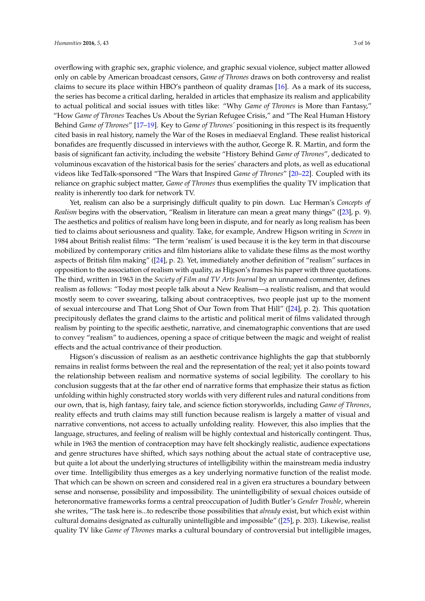overflowing with graphic sex, graphic violence, and graphic sexual violence, subject matter allowed only on cable by American broadcast censors, *Game of Thrones* draws on both controversy and realist claims to secure its place within HBO's pantheon of quality dramas [\[16\]](#page-12-11). As a mark of its success, the series has become a critical darling, heralded in articles that emphasize its realism and applicability to actual political and social issues with titles like: "Why *Game of Thrones* is More than Fantasy," "How *Game of Thrones* Teaches Us About the Syrian Refugee Crisis," and "The Real Human History Behind *Game of Thrones*" [\[17](#page-12-12)[–19\]](#page-13-0). Key to *Game of Thrones'* positioning in this respect is its frequently cited basis in real history, namely the War of the Roses in mediaeval England. These realist historical bonafides are frequently discussed in interviews with the author, George R. R. Martin, and form the basis of significant fan activity, including the website "History Behind *Game of Thrones*", dedicated to voluminous excavation of the historical basis for the series' characters and plots, as well as educational videos like TedTalk-sponsored "The Wars that Inspired *Game of Thrones*" [\[20](#page-13-1)[–22\]](#page-13-2). Coupled with its reliance on graphic subject matter, *Game of Thrones* thus exemplifies the quality TV implication that reality is inherently too dark for network TV.

Yet, realism can also be a surprisingly difficult quality to pin down. Luc Herman's *Concepts of Realism* begins with the observation, "Realism in literature can mean a great many things" ([\[23\]](#page-13-3), p. 9). The aesthetics and politics of realism have long been in dispute, and for nearly as long realism has been tied to claims about seriousness and quality. Take, for example, Andrew Higson writing in *Screen* in 1984 about British realist films: "The term 'realism' is used because it is the key term in that discourse mobilized by contemporary critics and film historians alike to validate these films as the most worthy aspects of British film making" ([\[24\]](#page-13-4), p. 2). Yet, immediately another definition of "realism" surfaces in opposition to the association of realism with quality, as Higson's frames his paper with three quotations. The third, written in 1963 in the *Society of Film and TV Arts Journal* by an unnamed commenter, defines realism as follows: "Today most people talk about a New Realism—a realistic realism, and that would mostly seem to cover swearing, talking about contraceptives, two people just up to the moment of sexual intercourse and That Long Shot of Our Town from That Hill" ([\[24\]](#page-13-4), p. 2). This quotation precipitously deflates the grand claims to the artistic and political merit of films validated through realism by pointing to the specific aesthetic, narrative, and cinematographic conventions that are used to convey "realism" to audiences, opening a space of critique between the magic and weight of realist effects and the actual contrivance of their production.

Higson's discussion of realism as an aesthetic contrivance highlights the gap that stubbornly remains in realist forms between the real and the representation of the real; yet it also points toward the relationship between realism and normative systems of social legibility. The corollary to his conclusion suggests that at the far other end of narrative forms that emphasize their status as fiction unfolding within highly constructed story worlds with very different rules and natural conditions from our own, that is, high fantasy, fairy tale, and science fiction storyworlds, including *Game of Thrones*, reality effects and truth claims may still function because realism is largely a matter of visual and narrative conventions, not access to actually unfolding reality. However, this also implies that the language, structures, and feeling of realism will be highly contextual and historically contingent. Thus, while in 1963 the mention of contraception may have felt shockingly realistic, audience expectations and genre structures have shifted, which says nothing about the actual state of contraceptive use, but quite a lot about the underlying structures of intelligibility within the mainstream media industry over time. Intelligibility thus emerges as a key underlying normative function of the realist mode. That which can be shown on screen and considered real in a given era structures a boundary between sense and nonsense, possibility and impossibility. The unintelligibility of sexual choices outside of heteronormative frameworks forms a central preoccupation of Judith Butler's *Gender Trouble*, wherein she writes, "The task here is...to redescribe those possibilities that *already* exist, but which exist within cultural domains designated as culturally unintelligible and impossible" ([\[25\]](#page-13-5), p. 203). Likewise, realist quality TV like *Game of Thrones* marks a cultural boundary of controversial but intelligible images,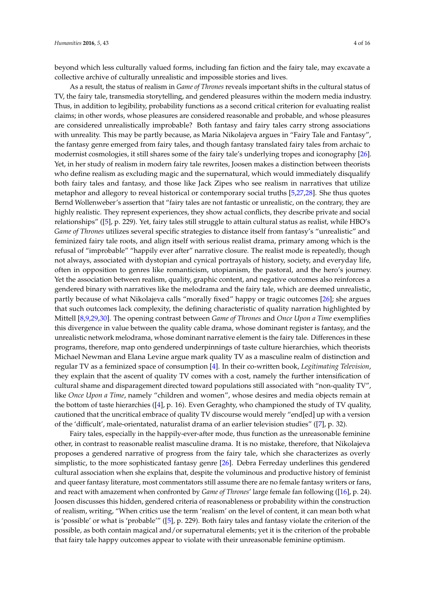beyond which less culturally valued forms, including fan fiction and the fairy tale, may excavate a collective archive of culturally unrealistic and impossible stories and lives.

As a result, the status of realism in *Game of Thrones* reveals important shifts in the cultural status of TV, the fairy tale, transmedia storytelling, and gendered pleasures within the modern media industry. Thus, in addition to legibility, probability functions as a second critical criterion for evaluating realist claims; in other words, whose pleasures are considered reasonable and probable, and whose pleasures are considered unrealistically improbable? Both fantasy and fairy tales carry strong associations with unreality. This may be partly because, as Maria Nikolajeva argues in "Fairy Tale and Fantasy", the fantasy genre emerged from fairy tales, and though fantasy translated fairy tales from archaic to modernist cosmologies, it still shares some of the fairy tale's underlying tropes and iconography [\[26\]](#page-13-6). Yet, in her study of realism in modern fairy tale rewrites, Joosen makes a distinction between theorists who define realism as excluding magic and the supernatural, which would immediately disqualify both fairy tales and fantasy, and those like Jack Zipes who see realism in narratives that utilize metaphor and allegory to reveal historical or contemporary social truths [\[5,](#page-12-4)[27](#page-13-7)[,28\]](#page-13-8). She thus quotes Bernd Wollenweber's assertion that "fairy tales are not fantastic or unrealistic, on the contrary, they are highly realistic. They represent experiences, they show actual conflicts, they describe private and social relationships" ([\[5\]](#page-12-4), p. 229). Yet, fairy tales still struggle to attain cultural status as realist, while HBO's *Game of Thrones* utilizes several specific strategies to distance itself from fantasy's "unrealistic" and feminized fairy tale roots, and align itself with serious realist drama, primary among which is the refusal of "improbable" "happily ever after" narrative closure. The realist mode is repeatedly, though not always, associated with dystopian and cynical portrayals of history, society, and everyday life, often in opposition to genres like romanticism, utopianism, the pastoral, and the hero's journey. Yet the association between realism, quality, graphic content, and negative outcomes also reinforces a gendered binary with narratives like the melodrama and the fairy tale, which are deemed unrealistic, partly because of what Nikolajeva calls "morally fixed" happy or tragic outcomes [\[26\]](#page-13-6); she argues that such outcomes lack complexity, the defining characteristic of quality narration highlighted by Mittell [\[8](#page-12-13)[,9](#page-12-14)[,29](#page-13-9)[,30\]](#page-13-10). The opening contrast between *Game of Thrones* and *Once Upon a Time* exemplifies this divergence in value between the quality cable drama, whose dominant register is fantasy, and the unrealistic network melodrama, whose dominant narrative element is the fairy tale. Differences in these programs, therefore, map onto gendered underpinnings of taste culture hierarchies, which theorists Michael Newman and Elana Levine argue mark quality TV as a masculine realm of distinction and regular TV as a feminized space of consumption [\[4\]](#page-12-3). In their co-written book, *Legitimating Television*, they explain that the ascent of quality TV comes with a cost, namely the further intensification of cultural shame and disparagement directed toward populations still associated with "non-quality TV", like *Once Upon a Time*, namely "children and women", whose desires and media objects remain at the bottom of taste hierarchies ([\[4\]](#page-12-3), p. 16). Even Geraghty, who championed the study of TV quality, cautioned that the uncritical embrace of quality TV discourse would merely "end[ed] up with a version of the 'difficult', male-orientated, naturalist drama of an earlier television studies" ([\[7\]](#page-12-7), p. 32).

Fairy tales, especially in the happily-ever-after mode, thus function as the unreasonable feminine other, in contrast to reasonable realist masculine drama. It is no mistake, therefore, that Nikolajeva proposes a gendered narrative of progress from the fairy tale, which she characterizes as overly simplistic, to the more sophisticated fantasy genre [\[26\]](#page-13-6). Debra Ferreday underlines this gendered cultural association when she explains that, despite the voluminous and productive history of feminist and queer fantasy literature, most commentators still assume there are no female fantasy writers or fans, and react with amazement when confronted by *Game of Thrones*' large female fan following ([\[16\]](#page-12-11), p. 24). Joosen discusses this hidden, gendered criteria of reasonableness or probability within the construction of realism, writing, "When critics use the term 'realism' on the level of content, it can mean both what is 'possible' or what is 'probable'"  $([5]$  $([5]$ , p. 229). Both fairy tales and fantasy violate the criterion of the possible, as both contain magical and/or supernatural elements; yet it is the criterion of the probable that fairy tale happy outcomes appear to violate with their unreasonable feminine optimism.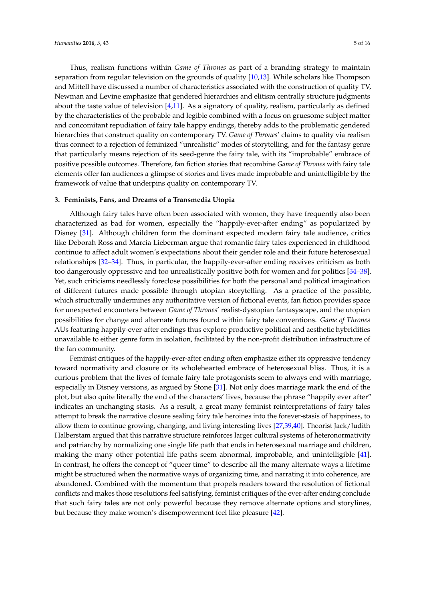Thus, realism functions within *Game of Thrones* as part of a branding strategy to maintain separation from regular television on the grounds of quality [\[10,](#page-12-10)[13\]](#page-12-15). While scholars like Thompson and Mittell have discussed a number of characteristics associated with the construction of quality TV, Newman and Levine emphasize that gendered hierarchies and elitism centrally structure judgments about the taste value of television  $[4,11]$  $[4,11]$ . As a signatory of quality, realism, particularly as defined by the characteristics of the probable and legible combined with a focus on gruesome subject matter and concomitant repudiation of fairy tale happy endings, thereby adds to the problematic gendered hierarchies that construct quality on contemporary TV. *Game of Thrones*' claims to quality via realism thus connect to a rejection of feminized "unrealistic" modes of storytelling, and for the fantasy genre that particularly means rejection of its seed-genre the fairy tale, with its "improbable" embrace of positive possible outcomes. Therefore, fan fiction stories that recombine *Game of Thrones* with fairy tale elements offer fan audiences a glimpse of stories and lives made improbable and unintelligible by the framework of value that underpins quality on contemporary TV.

#### **3. Feminists, Fans, and Dreams of a Transmedia Utopia**

Although fairy tales have often been associated with women, they have frequently also been characterized as bad for women, especially the "happily-ever-after ending" as popularized by Disney [\[31\]](#page-13-11). Although children form the dominant expected modern fairy tale audience, critics like Deborah Ross and Marcia Lieberman argue that romantic fairy tales experienced in childhood continue to affect adult women's expectations about their gender role and their future heterosexual relationships [\[32](#page-13-12)[–34\]](#page-13-13). Thus, in particular, the happily-ever-after ending receives criticism as both too dangerously oppressive and too unrealistically positive both for women and for politics [\[34–](#page-13-13)[38\]](#page-13-14). Yet, such criticisms needlessly foreclose possibilities for both the personal and political imagination of different futures made possible through utopian storytelling. As a practice of the possible, which structurally undermines any authoritative version of fictional events, fan fiction provides space for unexpected encounters between *Game of Thrones*' realist-dystopian fantasyscape, and the utopian possibilities for change and alternate futures found within fairy tale conventions. *Game of Thrones* AUs featuring happily-ever-after endings thus explore productive political and aesthetic hybridities unavailable to either genre form in isolation, facilitated by the non-profit distribution infrastructure of the fan community.

Feminist critiques of the happily-ever-after ending often emphasize either its oppressive tendency toward normativity and closure or its wholehearted embrace of heterosexual bliss. Thus, it is a curious problem that the lives of female fairy tale protagonists seem to always end with marriage, especially in Disney versions, as argued by Stone [\[31\]](#page-13-11). Not only does marriage mark the end of the plot, but also quite literally the end of the characters' lives, because the phrase "happily ever after" indicates an unchanging stasis. As a result, a great many feminist reinterpretations of fairy tales attempt to break the narrative closure sealing fairy tale heroines into the forever-stasis of happiness, to allow them to continue growing, changing, and living interesting lives [\[27,](#page-13-7)[39,](#page-13-15)[40\]](#page-13-16). Theorist Jack/Judith Halberstam argued that this narrative structure reinforces larger cultural systems of heteronormativity and patriarchy by normalizing one single life path that ends in heterosexual marriage and children, making the many other potential life paths seem abnormal, improbable, and unintelligible [\[41\]](#page-13-17). In contrast, he offers the concept of "queer time" to describe all the many alternate ways a lifetime might be structured when the normative ways of organizing time, and narrating it into coherence, are abandoned. Combined with the momentum that propels readers toward the resolution of fictional conflicts and makes those resolutions feel satisfying, feminist critiques of the ever-after ending conclude that such fairy tales are not only powerful because they remove alternate options and storylines, but because they make women's disempowerment feel like pleasure [\[42\]](#page-13-18).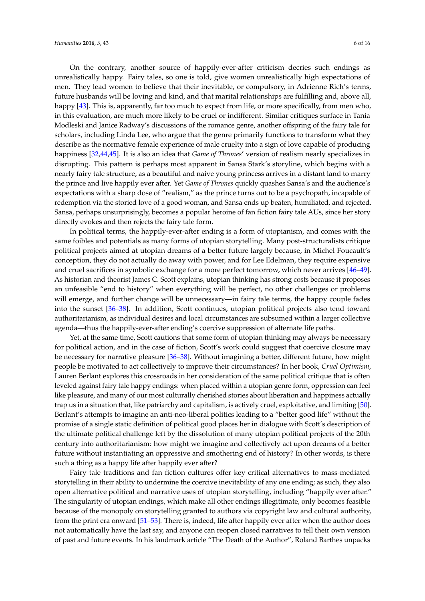On the contrary, another source of happily-ever-after criticism decries such endings as unrealistically happy. Fairy tales, so one is told, give women unrealistically high expectations of men. They lead women to believe that their inevitable, or compulsory, in Adrienne Rich's terms, future husbands will be loving and kind, and that marital relationships are fulfilling and, above all, happy [\[43\]](#page-13-19). This is, apparently, far too much to expect from life, or more specifically, from men who, in this evaluation, are much more likely to be cruel or indifferent. Similar critiques surface in Tania Modleski and Janice Radway's discussions of the romance genre, another offspring of the fairy tale for scholars, including Linda Lee, who argue that the genre primarily functions to transform what they describe as the normative female experience of male cruelty into a sign of love capable of producing happiness [\[32,](#page-13-12)[44,](#page-13-20)[45\]](#page-13-21). It is also an idea that *Game of Thrones*' version of realism nearly specializes in disrupting. This pattern is perhaps most apparent in Sansa Stark's storyline, which begins with a nearly fairy tale structure, as a beautiful and naive young princess arrives in a distant land to marry the prince and live happily ever after. Yet *Game of Thrones* quickly quashes Sansa's and the audience's expectations with a sharp dose of "realism," as the prince turns out to be a psychopath, incapable of redemption via the storied love of a good woman, and Sansa ends up beaten, humiliated, and rejected. Sansa, perhaps unsurprisingly, becomes a popular heroine of fan fiction fairy tale AUs, since her story directly evokes and then rejects the fairy tale form.

In political terms, the happily-ever-after ending is a form of utopianism, and comes with the same foibles and potentials as many forms of utopian storytelling. Many post-structuralists critique political projects aimed at utopian dreams of a better future largely because, in Michel Foucault's conception, they do not actually do away with power, and for Lee Edelman, they require expensive and cruel sacrifices in symbolic exchange for a more perfect tomorrow, which never arrives [\[46–](#page-13-22)[49\]](#page-13-23). As historian and theorist James C. Scott explains, utopian thinking has strong costs because it proposes an unfeasible "end to history" when everything will be perfect, no other challenges or problems will emerge, and further change will be unnecessary—in fairy tale terms, the happy couple fades into the sunset [\[36–](#page-13-24)[38\]](#page-13-14). In addition, Scott continues, utopian political projects also tend toward authoritarianism, as individual desires and local circumstances are subsumed within a larger collective agenda—thus the happily-ever-after ending's coercive suppression of alternate life paths.

Yet, at the same time, Scott cautions that some form of utopian thinking may always be necessary for political action, and in the case of fiction, Scott's work could suggest that coercive closure may be necessary for narrative pleasure [\[36–](#page-13-24)[38\]](#page-13-14). Without imagining a better, different future, how might people be motivated to act collectively to improve their circumstances? In her book, *Cruel Optimism*, Lauren Berlant explores this crossroads in her consideration of the same political critique that is often leveled against fairy tale happy endings: when placed within a utopian genre form, oppression can feel like pleasure, and many of our most culturally cherished stories about liberation and happiness actually trap us in a situation that, like patriarchy and capitalism, is actively cruel, exploitative, and limiting [\[50\]](#page-14-0). Berlant's attempts to imagine an anti-neo-liberal politics leading to a "better good life" without the promise of a single static definition of political good places her in dialogue with Scott's description of the ultimate political challenge left by the dissolution of many utopian political projects of the 20th century into authoritarianism: how might we imagine and collectively act upon dreams of a better future without instantiating an oppressive and smothering end of history? In other words, is there such a thing as a happy life after happily ever after?

Fairy tale traditions and fan fiction cultures offer key critical alternatives to mass-mediated storytelling in their ability to undermine the coercive inevitability of any one ending; as such, they also open alternative political and narrative uses of utopian storytelling, including "happily ever after." The singularity of utopian endings, which make all other endings illegitimate, only becomes feasible because of the monopoly on storytelling granted to authors via copyright law and cultural authority, from the print era onward [\[51](#page-14-1)[–53\]](#page-14-2). There is, indeed, life after happily ever after when the author does not automatically have the last say, and anyone can reopen closed narratives to tell their own version of past and future events. In his landmark article "The Death of the Author", Roland Barthes unpacks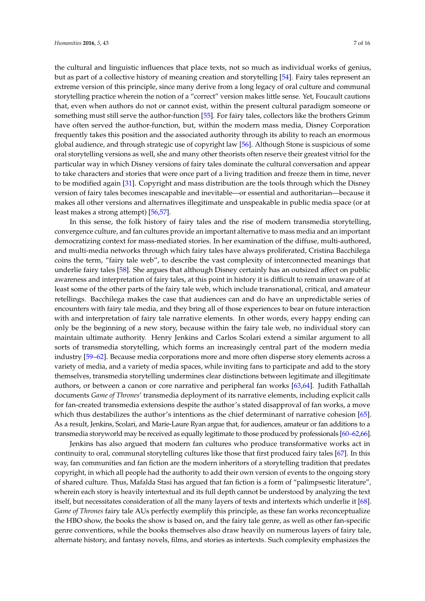the cultural and linguistic influences that place texts, not so much as individual works of genius, but as part of a collective history of meaning creation and storytelling [\[54\]](#page-14-3). Fairy tales represent an extreme version of this principle, since many derive from a long legacy of oral culture and communal storytelling practice wherein the notion of a "correct" version makes little sense. Yet, Foucault cautions that, even when authors do not or cannot exist, within the present cultural paradigm someone or something must still serve the author-function [\[55\]](#page-14-4). For fairy tales, collectors like the brothers Grimm have often served the author-function, but, within the modern mass media, Disney Corporation frequently takes this position and the associated authority through its ability to reach an enormous global audience, and through strategic use of copyright law [\[56\]](#page-14-5). Although Stone is suspicious of some oral storytelling versions as well, she and many other theorists often reserve their greatest vitriol for the

particular way in which Disney versions of fairy tales dominate the cultural conversation and appear to take characters and stories that were once part of a living tradition and freeze them in time, never to be modified again [\[31\]](#page-13-11). Copyright and mass distribution are the tools through which the Disney version of fairy tales becomes inescapable and inevitable—or essential and authoritarian—because it makes all other versions and alternatives illegitimate and unspeakable in public media space (or at least makes a strong attempt) [\[56](#page-14-5)[,57\]](#page-14-6).

In this sense, the folk history of fairy tales and the rise of modern transmedia storytelling, convergence culture, and fan cultures provide an important alternative to mass media and an important democratizing context for mass-mediated stories. In her examination of the diffuse, multi-authored, and multi-media networks through which fairy tales have always proliferated, Cristina Bacchilega coins the term, "fairy tale web", to describe the vast complexity of interconnected meanings that underlie fairy tales [\[58\]](#page-14-7). She argues that although Disney certainly has an outsized affect on public awareness and interpretation of fairy tales, at this point in history it is difficult to remain unaware of at least some of the other parts of the fairy tale web, which include transnational, critical, and amateur retellings. Bacchilega makes the case that audiences can and do have an unpredictable series of encounters with fairy tale media, and they bring all of those experiences to bear on future interaction with and interpretation of fairy tale narrative elements. In other words, every happy ending can only be the beginning of a new story, because within the fairy tale web, no individual story can maintain ultimate authority. Henry Jenkins and Carlos Scolari extend a similar argument to all sorts of transmedia storytelling, which forms an increasingly central part of the modern media industry [\[59](#page-14-8)[–62\]](#page-14-9). Because media corporations more and more often disperse story elements across a variety of media, and a variety of media spaces, while inviting fans to participate and add to the story themselves, transmedia storytelling undermines clear distinctions between legitimate and illegitimate authors, or between a canon or core narrative and peripheral fan works [\[63,](#page-14-10)[64\]](#page-14-11). Judith Fathallah documents *Game of Thrones*' transmedia deployment of its narrative elements, including explicit calls for fan-created transmedia extensions despite the author's stated disapproval of fan works, a move which thus destabilizes the author's intentions as the chief determinant of narrative cohesion [\[65\]](#page-14-12). As a result, Jenkins, Scolari, and Marie-Laure Ryan argue that, for audiences, amateur or fan additions to a transmedia storyworld may be received as equally legitimate to those produced by professionals [\[60–](#page-14-13)[62](#page-14-9)[,66\]](#page-14-14).

Jenkins has also argued that modern fan cultures who produce transformative works act in continuity to oral, communal storytelling cultures like those that first produced fairy tales [\[67\]](#page-14-15). In this way, fan communities and fan fiction are the modern inheritors of a storytelling tradition that predates copyright, in which all people had the authority to add their own version of events to the ongoing story of shared culture. Thus, Mafalda Stasi has argued that fan fiction is a form of "palimpsestic literature", wherein each story is heavily intertextual and its full depth cannot be understood by analyzing the text itself, but necessitates consideration of all the many layers of texts and intertexts which underlie it [\[68\]](#page-14-16). *Game of Thrones* fairy tale AUs perfectly exemplify this principle, as these fan works reconceptualize the HBO show, the books the show is based on, and the fairy tale genre, as well as other fan-specific genre conventions, while the books themselves also draw heavily on numerous layers of fairy tale, alternate history, and fantasy novels, films, and stories as intertexts. Such complexity emphasizes the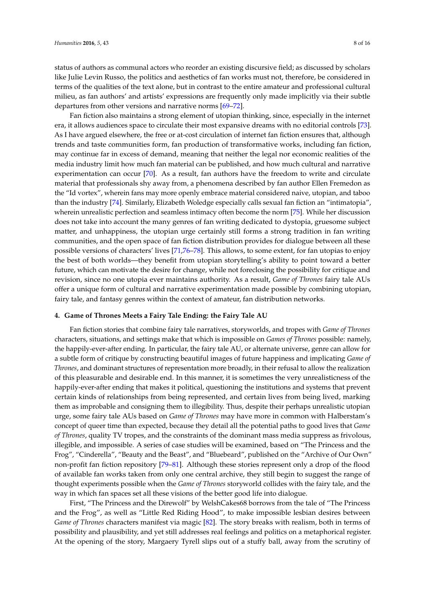status of authors as communal actors who reorder an existing discursive field; as discussed by scholars like Julie Levin Russo, the politics and aesthetics of fan works must not, therefore, be considered in terms of the qualities of the text alone, but in contrast to the entire amateur and professional cultural milieu, as fan authors' and artists' expressions are frequently only made implicitly via their subtle departures from other versions and narrative norms [\[69–](#page-14-17)[72\]](#page-14-18).

Fan fiction also maintains a strong element of utopian thinking, since, especially in the internet era, it allows audiences space to circulate their most expansive dreams with no editorial controls [\[73\]](#page-14-19). As I have argued elsewhere, the free or at-cost circulation of internet fan fiction ensures that, although trends and taste communities form, fan production of transformative works, including fan fiction, may continue far in excess of demand, meaning that neither the legal nor economic realities of the media industry limit how much fan material can be published, and how much cultural and narrative experimentation can occur [\[70\]](#page-14-20). As a result, fan authors have the freedom to write and circulate material that professionals shy away from, a phenomena described by fan author Ellen Fremedon as the "Id vortex", wherein fans may more openly embrace material considered naive, utopian, and taboo than the industry [\[74\]](#page-14-21). Similarly, Elizabeth Woledge especially calls sexual fan fiction an "intimatopia", wherein unrealistic perfection and seamless intimacy often become the norm [\[75\]](#page-14-22). While her discussion does not take into account the many genres of fan writing dedicated to dystopia, gruesome subject matter, and unhappiness, the utopian urge certainly still forms a strong tradition in fan writing communities, and the open space of fan fiction distribution provides for dialogue between all these possible versions of characters' lives [\[71,](#page-14-23)[76](#page-14-24)[–78\]](#page-14-25). This allows, to some extent, for fan utopias to enjoy the best of both worlds—they benefit from utopian storytelling's ability to point toward a better future, which can motivate the desire for change, while not foreclosing the possibility for critique and revision, since no one utopia ever maintains authority. As a result, *Game of Thrones* fairy tale AUs offer a unique form of cultural and narrative experimentation made possible by combining utopian, fairy tale, and fantasy genres within the context of amateur, fan distribution networks.

#### **4. Game of Thrones Meets a Fairy Tale Ending: the Fairy Tale AU**

Fan fiction stories that combine fairy tale narratives, storyworlds, and tropes with *Game of Thrones* characters, situations, and settings make that which is impossible on *Games of Thrones* possible: namely, the happily-ever-after ending. In particular, the fairy tale AU, or alternate universe, genre can allow for a subtle form of critique by constructing beautiful images of future happiness and implicating *Game of Thrones*, and dominant structures of representation more broadly, in their refusal to allow the realization of this pleasurable and desirable end. In this manner, it is sometimes the very unrealisticness of the happily-ever-after ending that makes it political, questioning the institutions and systems that prevent certain kinds of relationships from being represented, and certain lives from being lived, marking them as improbable and consigning them to illegibility. Thus, despite their perhaps unrealistic utopian urge, some fairy tale AUs based on *Game of Thrones* may have more in common with Halberstam's concept of queer time than expected, because they detail all the potential paths to good lives that *Game of Thrones*, quality TV tropes, and the constraints of the dominant mass media suppress as frivolous, illegible, and impossible. A series of case studies will be examined, based on "The Princess and the Frog", "Cinderella", "Beauty and the Beast", and "Bluebeard", published on the "Archive of Our Own" non-profit fan fiction repository [\[79](#page-15-0)[–81\]](#page-15-1). Although these stories represent only a drop of the flood of available fan works taken from only one central archive, they still begin to suggest the range of thought experiments possible when the *Game of Thrones* storyworld collides with the fairy tale, and the way in which fan spaces set all these visions of the better good life into dialogue.

First, "The Princess and the Direwolf" by WelshCakes68 borrows from the tale of "The Princess and the Frog", as well as "Little Red Riding Hood", to make impossible lesbian desires between *Game of Thrones* characters manifest via magic [\[82\]](#page-15-2). The story breaks with realism, both in terms of possibility and plausibility, and yet still addresses real feelings and politics on a metaphorical register. At the opening of the story, Margaery Tyrell slips out of a stuffy ball, away from the scrutiny of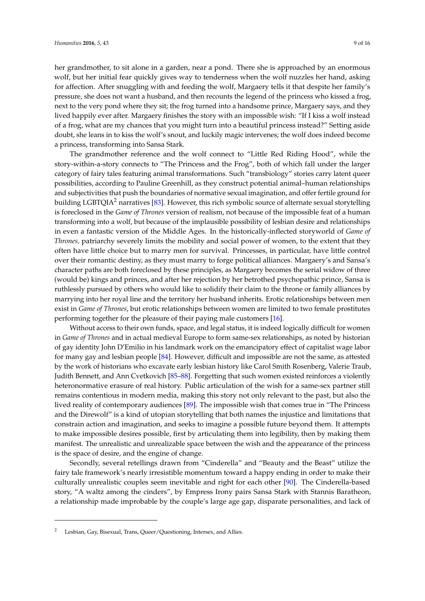her grandmother, to sit alone in a garden, near a pond. There she is approached by an enormous wolf, but her initial fear quickly gives way to tenderness when the wolf nuzzles her hand, asking for affection. After snuggling with and feeding the wolf, Margaery tells it that despite her family's pressure, she does not want a husband, and then recounts the legend of the princess who kissed a frog, next to the very pond where they sit; the frog turned into a handsome prince, Margaery says, and they lived happily ever after. Margaery finishes the story with an impossible wish: "If I kiss a wolf instead of a frog, what are my chances that you might turn into a beautiful princess instead?" Setting aside doubt, she leans in to kiss the wolf's snout, and luckily magic intervenes; the wolf does indeed become a princess, transforming into Sansa Stark.

The grandmother reference and the wolf connect to "Little Red Riding Hood", while the story-within-a-story connects to "The Princess and the Frog", both of which fall under the larger category of fairy tales featuring animal transformations. Such "transbiology" stories carry latent queer possibilities, according to Pauline Greenhill, as they construct potential animal–human relationships and subjectivities that push the boundaries of normative sexual imagination, and offer fertile ground for building LGBTQIA<sup>2</sup> narratives [\[83\]](#page-15-3). However, this rich symbolic source of alternate sexual storytelling is foreclosed in the *Game of Thrones* version of realism, not because of the impossible feat of a human transforming into a wolf, but because of the implausible possibility of lesbian desire and relationships in even a fantastic version of the Middle Ages. In the historically-inflected storyworld of *Game of Thrones,* patriarchy severely limits the mobility and social power of women, to the extent that they often have little choice but to marry men for survival. Princesses, in particular, have little control over their romantic destiny, as they must marry to forge political alliances. Margaery's and Sansa's character paths are both foreclosed by these principles, as Margaery becomes the serial widow of three (would be) kings and princes, and after her rejection by her betrothed psychopathic prince, Sansa is ruthlessly pursued by others who would like to solidify their claim to the throne or family alliances by marrying into her royal line and the territory her husband inherits. Erotic relationships between men exist in *Game of Thrones*, but erotic relationships between women are limited to two female prostitutes performing together for the pleasure of their paying male customers [\[16\]](#page-12-11).

Without access to their own funds, space, and legal status, it is indeed logically difficult for women in *Game of Thrones* and in actual medieval Europe to form same-sex relationships, as noted by historian of gay identity John D'Emilio in his landmark work on the emancipatory effect of capitalist wage labor for many gay and lesbian people [\[84\]](#page-15-4). However, difficult and impossible are not the same, as attested by the work of historians who excavate early lesbian history like Carol Smith Rosenberg, Valerie Traub, Judith Bennett, and Ann Cvetkovich [\[85–](#page-15-5)[88\]](#page-15-6). Forgetting that such women existed reinforces a violently heteronormative erasure of real history. Public articulation of the wish for a same-sex partner still remains contentious in modern media, making this story not only relevant to the past, but also the lived reality of contemporary audiences [\[89\]](#page-15-7). The impossible wish that comes true in "The Princess and the Direwolf" is a kind of utopian storytelling that both names the injustice and limitations that constrain action and imagination, and seeks to imagine a possible future beyond them. It attempts to make impossible desires possible, first by articulating them into legibility, then by making them manifest. The unrealistic and unrealizable space between the wish and the appearance of the princess is the space of desire, and the engine of change.

Secondly, several retellings drawn from "Cinderella" and "Beauty and the Beast" utilize the fairy tale framework's nearly irresistible momentum toward a happy ending in order to make their culturally unrealistic couples seem inevitable and right for each other [\[90\]](#page-15-8). The Cinderella-based story, "A waltz among the cinders", by Empress Irony pairs Sansa Stark with Stannis Baratheon, a relationship made improbable by the couple's large age gap, disparate personalities, and lack of

Lesbian, Gay, Bisexual, Trans, Queer/Questioning, Intersex, and Allies.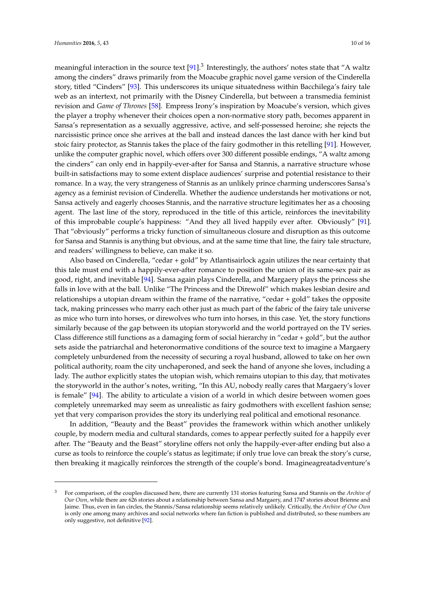meaningful interaction in the source text  $[91]^3$  $[91]^3$  Interestingly, the authors' notes state that "A waltz among the cinders" draws primarily from the Moacube graphic novel game version of the Cinderella story, titled "Cinders" [\[93\]](#page-15-10). This underscores its unique situatedness within Bacchilega's fairy tale web as an intertext, not primarily with the Disney Cinderella, but between a transmedia feminist revision and *Game of Thrones* [\[58\]](#page-14-7). Empress Irony's inspiration by Moacube's version, which gives the player a trophy whenever their choices open a non-normative story path, becomes apparent in Sansa's representation as a sexually aggressive, active, and self-possessed heroine; she rejects the narcissistic prince once she arrives at the ball and instead dances the last dance with her kind but stoic fairy protector, as Stannis takes the place of the fairy godmother in this retelling [\[91\]](#page-15-9). However, unlike the computer graphic novel, which offers over 300 different possible endings, "A waltz among the cinders" can only end in happily-ever-after for Sansa and Stannis, a narrative structure whose built-in satisfactions may to some extent displace audiences' surprise and potential resistance to their romance. In a way, the very strangeness of Stannis as an unlikely prince charming underscores Sansa's agency as a feminist revision of Cinderella. Whether the audience understands her motivations or not, Sansa actively and eagerly chooses Stannis, and the narrative structure legitimates her as a choosing agent. The last line of the story, reproduced in the title of this article, reinforces the inevitability of this improbable couple's happiness: "And they all lived happily ever after. Obviously" [\[91\]](#page-15-9). That "obviously" performs a tricky function of simultaneous closure and disruption as this outcome for Sansa and Stannis is anything but obvious, and at the same time that line, the fairy tale structure, and readers' willingness to believe, can make it so.

Also based on Cinderella, "cedar + gold" by Atlantisairlock again utilizes the near certainty that this tale must end with a happily-ever-after romance to position the union of its same-sex pair as good, right, and inevitable [\[94\]](#page-15-11). Sansa again plays Cinderella, and Margaery plays the princess she falls in love with at the ball. Unlike "The Princess and the Direwolf" which makes lesbian desire and relationships a utopian dream within the frame of the narrative, "cedar + gold" takes the opposite tack, making princesses who marry each other just as much part of the fabric of the fairy tale universe as mice who turn into horses, or direwolves who turn into horses, in this case. Yet, the story functions similarly because of the gap between its utopian storyworld and the world portrayed on the TV series. Class difference still functions as a damaging form of social hierarchy in "cedar + gold", but the author sets aside the patriarchal and heteronormative conditions of the source text to imagine a Margaery completely unburdened from the necessity of securing a royal husband, allowed to take on her own political authority, roam the city unchaperoned, and seek the hand of anyone she loves, including a lady. The author explicitly states the utopian wish, which remains utopian to this day, that motivates the storyworld in the author's notes, writing, "In this AU, nobody really cares that Margaery's lover is female" [\[94\]](#page-15-11). The ability to articulate a vision of a world in which desire between women goes completely unremarked may seem as unrealistic as fairy godmothers with excellent fashion sense; yet that very comparison provides the story its underlying real political and emotional resonance.

In addition, "Beauty and the Beast" provides the framework within which another unlikely couple, by modern media and cultural standards, comes to appear perfectly suited for a happily ever after. The "Beauty and the Beast" storyline offers not only the happily-ever-after ending but also a curse as tools to reinforce the couple's status as legitimate; if only true love can break the story's curse, then breaking it magically reinforces the strength of the couple's bond. Imagineagreatadventure's

<sup>3</sup> For comparison, of the couples discussed here, there are currently 131 stories featuring Sansa and Stannis on the *Archive of Our Own*, while there are 626 stories about a relationship between Sansa and Margaery, and 1747 stories about Brienne and Jaime. Thus, even in fan circles, the Stannis/Sansa relationship seems relatively unlikely. Critically, the *Archive of Our Own* is only one among many archives and social networks where fan fiction is published and distributed, so these numbers are only suggestive, not definitive [\[92\]](#page-15-12).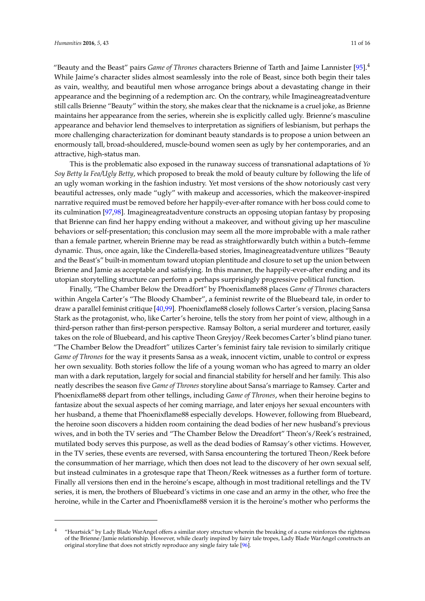"Beauty and the Beast" pairs *Game of Thrones* characters Brienne of Tarth and Jaime Lannister [\[95\]](#page-15-13).<sup>4</sup> While Jaime's character slides almost seamlessly into the role of Beast, since both begin their tales as vain, wealthy, and beautiful men whose arrogance brings about a devastating change in their appearance and the beginning of a redemption arc. On the contrary, while Imagineagreatadventure still calls Brienne "Beauty" within the story, she makes clear that the nickname is a cruel joke, as Brienne maintains her appearance from the series, wherein she is explicitly called ugly. Brienne's masculine appearance and behavior lend themselves to interpretation as signifiers of lesbianism, but perhaps the more challenging characterization for dominant beauty standards is to propose a union between an enormously tall, broad-shouldered, muscle-bound women seen as ugly by her contemporaries, and an attractive, high-status man.

This is the problematic also exposed in the runaway success of transnational adaptations of *Yo Soy Betty la Fea/Ugly Betty*, which proposed to break the mold of beauty culture by following the life of an ugly woman working in the fashion industry. Yet most versions of the show notoriously cast very beautiful actresses, only made "ugly" with makeup and accessories, which the makeover-inspired narrative required must be removed before her happily-ever-after romance with her boss could come to its culmination [\[97](#page-15-14)[,98\]](#page-15-15). Imagineagreatadventure constructs an opposing utopian fantasy by proposing that Brienne can find her happy ending without a makeover, and without giving up her masculine behaviors or self-presentation; this conclusion may seem all the more improbable with a male rather than a female partner, wherein Brienne may be read as straightforwardly butch within a butch–femme dynamic. Thus, once again, like the Cinderella-based stories, Imagineagreatadventure utilizes "Beauty and the Beast's" built-in momentum toward utopian plentitude and closure to set up the union between Brienne and Jamie as acceptable and satisfying. In this manner, the happily-ever-after ending and its utopian storytelling structure can perform a perhaps surprisingly progressive political function.

Finally, "The Chamber Below the Dreadfort" by Phoenixflame88 places *Game of Thrones* characters within Angela Carter's "The Bloody Chamber", a feminist rewrite of the Bluebeard tale, in order to draw a parallel feminist critique [\[40,](#page-13-16)[99\]](#page-15-16). Phoenixflame88 closely follows Carter's version, placing Sansa Stark as the protagonist, who, like Carter's heroine, tells the story from her point of view, although in a third-person rather than first-person perspective. Ramsay Bolton, a serial murderer and torturer, easily takes on the role of Bluebeard, and his captive Theon Greyjoy/Reek becomes Carter's blind piano tuner. "The Chamber Below the Dreadfort" utilizes Carter's feminist fairy tale revision to similarly critique *Game of Thrones* for the way it presents Sansa as a weak, innocent victim, unable to control or express her own sexuality. Both stories follow the life of a young woman who has agreed to marry an older man with a dark reputation, largely for social and financial stability for herself and her family. This also neatly describes the season five *Game of Thrones* storyline about Sansa's marriage to Ramsey. Carter and Phoenixflame88 depart from other tellings, including *Game of Thrones*, when their heroine begins to fantasize about the sexual aspects of her coming marriage, and later enjoys her sexual encounters with her husband, a theme that Phoenixflame88 especially develops. However, following from Bluebeard, the heroine soon discovers a hidden room containing the dead bodies of her new husband's previous wives, and in both the TV series and "The Chamber Below the Dreadfort" Theon's/Reek's restrained, mutilated body serves this purpose, as well as the dead bodies of Ramsay's other victims. However, in the TV series, these events are reversed, with Sansa encountering the tortured Theon/Reek before the consummation of her marriage, which then does not lead to the discovery of her own sexual self, but instead culminates in a grotesque rape that Theon/Reek witnesses as a further form of torture. Finally all versions then end in the heroine's escape, although in most traditional retellings and the TV series, it is men, the brothers of Bluebeard's victims in one case and an army in the other, who free the heroine, while in the Carter and Phoenixflame88 version it is the heroine's mother who performs the

<sup>4</sup> "Heartsick" by Lady Blade WarAngel offers a similar story structure wherein the breaking of a curse reinforces the rightness of the Brienne/Jamie relationship. However, while clearly inspired by fairy tale tropes, Lady Blade WarAngel constructs an original storyline that does not strictly reproduce any single fairy tale [\[96\]](#page-15-17).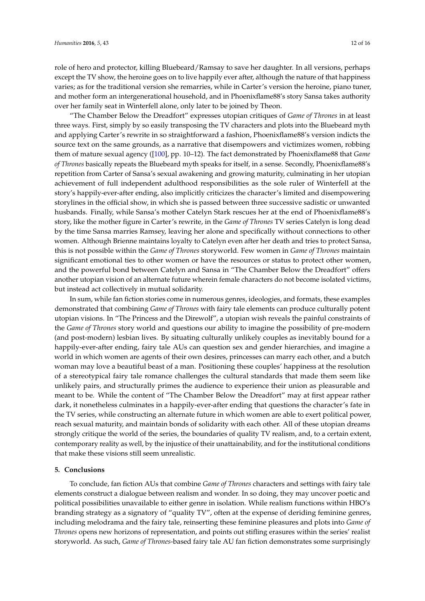role of hero and protector, killing Bluebeard/Ramsay to save her daughter. In all versions, perhaps except the TV show, the heroine goes on to live happily ever after, although the nature of that happiness varies; as for the traditional version she remarries, while in Carter's version the heroine, piano tuner, and mother form an intergenerational household, and in Phoenixflame88's story Sansa takes authority over her family seat in Winterfell alone, only later to be joined by Theon.

"The Chamber Below the Dreadfort" expresses utopian critiques of *Game of Thrones* in at least three ways. First, simply by so easily transposing the TV characters and plots into the Bluebeard myth and applying Carter's rewrite in so straightforward a fashion, Phoenixflame88's version indicts the source text on the same grounds, as a narrative that disempowers and victimizes women, robbing them of mature sexual agency ([\[100\]](#page-15-18), pp. 10–12). The fact demonstrated by Phoenixflame88 that *Game of Thrones* basically repeats the Bluebeard myth speaks for itself, in a sense. Secondly, Phoenixflame88's repetition from Carter of Sansa's sexual awakening and growing maturity, culminating in her utopian achievement of full independent adulthood responsibilities as the sole ruler of Winterfell at the story's happily-ever-after ending, also implicitly criticizes the character's limited and disempowering storylines in the official show, in which she is passed between three successive sadistic or unwanted husbands. Finally, while Sansa's mother Catelyn Stark rescues her at the end of Phoenixflame88's story, like the mother figure in Carter's rewrite, in the *Game of Thrones* TV series Catelyn is long dead by the time Sansa marries Ramsey, leaving her alone and specifically without connections to other women. Although Brienne maintains loyalty to Catelyn even after her death and tries to protect Sansa, this is not possible within the *Game of Thrones* storyworld. Few women in *Game of Thrones* maintain significant emotional ties to other women or have the resources or status to protect other women, and the powerful bond between Catelyn and Sansa in "The Chamber Below the Dreadfort" offers another utopian vision of an alternate future wherein female characters do not become isolated victims, but instead act collectively in mutual solidarity.

In sum, while fan fiction stories come in numerous genres, ideologies, and formats, these examples demonstrated that combining *Game of Thrones* with fairy tale elements can produce culturally potent utopian visions. In "The Princess and the Direwolf", a utopian wish reveals the painful constraints of the *Game of Thrones* story world and questions our ability to imagine the possibility of pre-modern (and post-modern) lesbian lives. By situating culturally unlikely couples as inevitably bound for a happily-ever-after ending, fairy tale AUs can question sex and gender hierarchies, and imagine a world in which women are agents of their own desires, princesses can marry each other, and a butch woman may love a beautiful beast of a man. Positioning these couples' happiness at the resolution of a stereotypical fairy tale romance challenges the cultural standards that made them seem like unlikely pairs, and structurally primes the audience to experience their union as pleasurable and meant to be. While the content of "The Chamber Below the Dreadfort" may at first appear rather dark, it nonetheless culminates in a happily-ever-after ending that questions the character's fate in the TV series, while constructing an alternate future in which women are able to exert political power, reach sexual maturity, and maintain bonds of solidarity with each other. All of these utopian dreams strongly critique the world of the series, the boundaries of quality TV realism, and, to a certain extent, contemporary reality as well, by the injustice of their unattainability, and for the institutional conditions that make these visions still seem unrealistic.

#### **5. Conclusions**

To conclude, fan fiction AUs that combine *Game of Thrones* characters and settings with fairy tale elements construct a dialogue between realism and wonder. In so doing, they may uncover poetic and political possibilities unavailable to either genre in isolation. While realism functions within HBO's branding strategy as a signatory of "quality TV", often at the expense of deriding feminine genres, including melodrama and the fairy tale, reinserting these feminine pleasures and plots into *Game of Thrones* opens new horizons of representation, and points out stifling erasures within the series' realist storyworld. As such, *Game of Thrones*-based fairy tale AU fan fiction demonstrates some surprisingly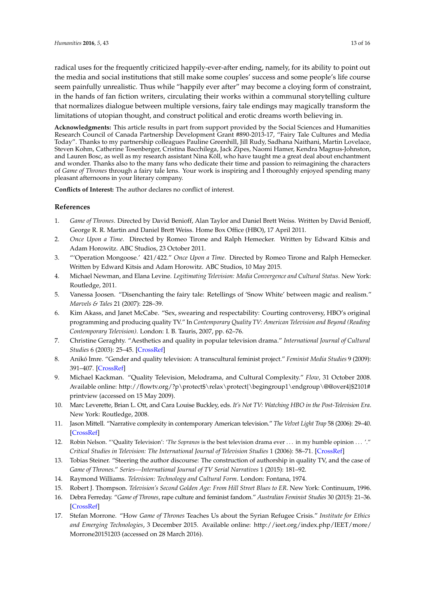radical uses for the frequently criticized happily-ever-after ending, namely, for its ability to point out the media and social institutions that still make some couples' success and some people's life course seem painfully unrealistic. Thus while "happily ever after" may become a cloying form of constraint, in the hands of fan fiction writers, circulating their works within a communal storytelling culture that normalizes dialogue between multiple versions, fairy tale endings may magically transform the limitations of utopian thought, and construct political and erotic dreams worth believing in.

**Acknowledgments:** This article results in part from support provided by the Social Sciences and Humanities Research Council of Canada Partnership Development Grant #890-2013-17, "Fairy Tale Cultures and Media Today". Thanks to my partnership colleagues Pauline Greenhill, Jill Rudy, Sadhana Naithani, Martin Lovelace, Steven Kohm, Catherine Tosenberger, Cristina Bacchilega, Jack Zipes, Naomi Hamer, Kendra Magnus-Johnston, and Lauren Bosc, as well as my research assistant Nina Köll, who have taught me a great deal about enchantment and wonder. Thanks also to the many fans who dedicate their time and passion to reimagining the characters of *Game of Thrones* through a fairy tale lens. Your work is inspiring and I thoroughly enjoyed spending many pleasant afternoons in your literary company.

**Conflicts of Interest:** The author declares no conflict of interest.

## **References**

- <span id="page-12-0"></span>1. *Game of Thrones*. Directed by David Benioff, Alan Taylor and Daniel Brett Weiss. Written by David Benioff, George R. R. Martin and Daniel Brett Weiss. Home Box Office (HBO), 17 April 2011.
- <span id="page-12-1"></span>2. *Once Upon a Time*. Directed by Romeo Tirone and Ralph Hemecker. Written by Edward Kitsis and Adam Horowitz. ABC Studios, 23 October 2011.
- <span id="page-12-2"></span>3. "'Operation Mongoose.' 421/422." *Once Upon a Time*. Directed by Romeo Tirone and Ralph Hemecker. Written by Edward Kitsis and Adam Horowitz. ABC Studios, 10 May 2015.
- <span id="page-12-3"></span>4. Michael Newman, and Elana Levine. *Legitimating Television: Media Convergence and Cultural Status*. New York: Routledge, 2011.
- <span id="page-12-4"></span>5. Vanessa Joosen. "Disenchanting the fairy tale: Retellings of 'Snow White' between magic and realism." *Marvels & Tales* 21 (2007): 228–39.
- <span id="page-12-5"></span>6. Kim Akass, and Janet McCabe. "Sex, swearing and respectability: Courting controversy, HBO's original programming and producing quality TV." In *Contemporary Quality TV: American Television and Beyond (Reading Contemporary Television)*. London: I. B. Tauris, 2007, pp. 62–76.
- <span id="page-12-7"></span>7. Christine Geraghty. "Aesthetics and quality in popular television drama." *International Journal of Cultural Studies* 6 (2003): 25–45. [\[CrossRef\]](http://dx.doi.org/10.1177/1367877903006001002)
- <span id="page-12-13"></span>8. Anikó Imre. "Gender and quality television: A transcultural feminist project." *Feminist Media Studies* 9 (2009): 391–407. [\[CrossRef\]](http://dx.doi.org/10.1080/14680770903232987)
- <span id="page-12-14"></span>9. Michael Kackman. "Quality Television, Melodrama, and Cultural Complexity." *Flow*, 31 October 2008. Available online: [http://flowtv.org/?p\protect\\$\relax\protect{\begingroup1\endgroup\@@over4}\\$2101#](http://flowtv.org/?p\protect $\relax \protect {\begingroup 1\endgroup \@@over 4}$2101#printview) [printview](http://flowtv.org/?p\protect $\relax \protect {\begingroup 1\endgroup \@@over 4}$2101#printview) (accessed on 15 May 2009).
- <span id="page-12-10"></span>10. Marc Leverette, Brian L. Ott, and Cara Louise Buckley, eds. *It's Not TV: Watching HBO in the Post-Television Era*. New York: Routledge, 2008.
- <span id="page-12-8"></span>11. Jason Mittell. "Narrative complexity in contemporary American television." *The Velvet Light Trap* 58 (2006): 29–40. [\[CrossRef\]](http://dx.doi.org/10.1353/vlt.2006.0032)
- 12. Robin Nelson. "'Quality Television': '*The Sopranos* is the best television drama ever . . . in my humble opinion . . . '." *Critical Studies in Television: The International Journal of Television Studies* 1 (2006): 58–71. [\[CrossRef\]](http://dx.doi.org/10.7227/CST.1.1.9)
- <span id="page-12-15"></span>13. Tobias Steiner. "Steering the author discourse: The construction of authorship in quality TV, and the case of *Game of Thrones*." *Series—International Journal of TV Serial Narratives* 1 (2015): 181–92.
- <span id="page-12-6"></span>14. Raymond Williams. *Television: Technology and Cultural Form*. London: Fontana, 1974.
- <span id="page-12-9"></span>15. Robert J. Thompson. *Television's Second Golden Age: From Hill Street Blues to ER*. New York: Continuum, 1996.
- <span id="page-12-11"></span>16. Debra Ferreday. "*Game of Thrones*, rape culture and feminist fandom." *Australian Feminist Studies* 30 (2015): 21–36. [\[CrossRef\]](http://dx.doi.org/10.1080/08164649.2014.998453)
- <span id="page-12-12"></span>17. Stefan Morrone. "How *Game of Thrones* Teaches Us about the Syrian Refugee Crisis." *Institute for Ethics and Emerging Technologies*, 3 December 2015. Available online: [http://ieet.org/index.php/IEET/more/](http://ieet.org/index.php/IEET/more/Morrone20151203) [Morrone20151203](http://ieet.org/index.php/IEET/more/Morrone20151203) (accessed on 28 March 2016).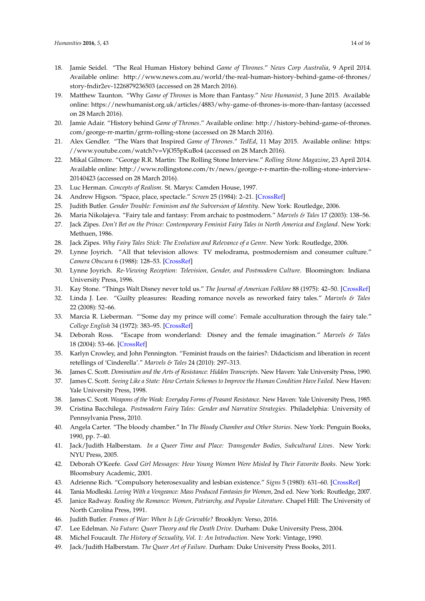- 18. Jamie Seidel. "The Real Human History behind *Game of Thrones*." *News Corp Australia*, 9 April 2014. Available online: [http://www.news.com.au/world/the-real-human-history-behind-game-of-thrones/](http://www.news.com.au/world/the-real-human-history-behind-game-of-thrones/story-fndir2ev-1226879236503) [story-fndir2ev-1226879236503](http://www.news.com.au/world/the-real-human-history-behind-game-of-thrones/story-fndir2ev-1226879236503) (accessed on 28 March 2016).
- <span id="page-13-0"></span>19. Matthew Taunton. "Why *Game of Thrones* is More than Fantasy." *New Humanist*, 3 June 2015. Available online: <https://newhumanist.org.uk/articles/4883/why-game-of-thrones-is-more-than-fantasy> (accessed on 28 March 2016).
- <span id="page-13-1"></span>20. Jamie Adair. "History behind *Game of Thrones*." Available online: [http://history-behind-game-of-thrones.](http://history-behind-game-of-thrones.com/george-rr-martin/grrm-rolling-stone) [com/george-rr-martin/grrm-rolling-stone](http://history-behind-game-of-thrones.com/george-rr-martin/grrm-rolling-stone) (accessed on 28 March 2016).
- 21. Alex Gendler. "The Wars that Inspired *Game of Thrones*." *TedEd*, 11 May 2015. Available online: [https:](https://www.youtube.com/watch?v=VjO55pKuBo4) [//www.youtube.com/watch?v=VjO55pKuBo4](https://www.youtube.com/watch?v=VjO55pKuBo4) (accessed on 28 March 2016).
- <span id="page-13-2"></span>22. Mikal Gilmore. "George R.R. Martin: The Rolling Stone Interview." *Rolling Stone Magazine*, 23 April 2014. Available online: [http://www.rollingstone.com/tv/news/george-r-r-martin-the-rolling-stone-interview-](http://www.rollingstone.com/tv/news/george-r-r-martin-the-rolling-stone-interview-20140423)[20140423](http://www.rollingstone.com/tv/news/george-r-r-martin-the-rolling-stone-interview-20140423) (accessed on 28 March 2016).
- <span id="page-13-3"></span>23. Luc Herman. *Concepts of Realism*. St. Marys: Camden House, 1997.
- <span id="page-13-4"></span>24. Andrew Higson. "Space, place, spectacle." *Screen* 25 (1984): 2–21. [\[CrossRef\]](http://dx.doi.org/10.1093/screen/25.4-5.2)
- <span id="page-13-5"></span>25. Judith Butler. *Gender Trouble: Feminism and the Subversion of Identity*. New York: Routledge, 2006.
- <span id="page-13-6"></span>26. Maria Nikolajeva. "Fairy tale and fantasy: From archaic to postmodern." *Marvels & Tales* 17 (2003): 138–56.
- <span id="page-13-7"></span>27. Jack Zipes. *Don't Bet on the Prince: Contemporary Feminist Fairy Tales in North America and England*. New York: Methuen, 1986.
- <span id="page-13-8"></span>28. Jack Zipes. *Why Fairy Tales Stick: The Evolution and Relevance of a Genre*. New York: Routledge, 2006.
- <span id="page-13-9"></span>29. Lynne Joyrich. "All that television allows: TV melodrama, postmodernism and consumer culture." *Camera Obscura* 6 (1988): 128–53. [\[CrossRef\]](http://dx.doi.org/10.1215/02705346-6-1_16-128)
- <span id="page-13-10"></span>30. Lynne Joyrich. *Re-Viewing Reception: Television, Gender, and Postmodern Culture*. Bloomington: Indiana University Press, 1996.
- <span id="page-13-11"></span>31. Kay Stone. "Things Walt Disney never told us." *The Journal of American Folklore* 88 (1975): 42–50. [\[CrossRef\]](http://dx.doi.org/10.2307/539184)
- <span id="page-13-12"></span>32. Linda J. Lee. "Guilty pleasures: Reading romance novels as reworked fairy tales." *Marvels & Tales* 22 (2008): 52–66.
- 33. Marcia R. Lieberman. "'Some day my prince will come': Female acculturation through the fairy tale." *College English* 34 (1972): 383–95. [\[CrossRef\]](http://dx.doi.org/10.2307/375142)
- <span id="page-13-13"></span>34. Deborah Ross. "Escape from wonderland: Disney and the female imagination." *Marvels & Tales* 18 (2004): 53–66. [\[CrossRef\]](http://dx.doi.org/10.1353/mat.2004.0016)
- 35. Karlyn Crowley, and John Pennington. "Feminist frauds on the fairies?: Didacticism and liberation in recent retellings of 'Cinderella'." *Marvels & Tales* 24 (2010): 297–313.
- <span id="page-13-24"></span>36. James C. Scott. *Domination and the Arts of Resistance: Hidden Transcripts*. New Haven: Yale University Press, 1990.
- 37. James C. Scott. *Seeing Like a State: How Certain Schemes to Improve the Human Condition Have Failed*. New Haven: Yale University Press, 1998.
- <span id="page-13-14"></span>38. James C. Scott. *Weapons of the Weak: Everyday Forms of Peasant Resistance*. New Haven: Yale University Press, 1985.
- <span id="page-13-15"></span>39. Cristina Bacchilega. *Postmodern Fairy Tales: Gender and Narrative Strategies*. Philadelphia: University of Pennsylvania Press, 2010.
- <span id="page-13-16"></span>40. Angela Carter. "The bloody chamber." In *The Bloody Chamber and Other Stories*. New York: Penguin Books, 1990, pp. 7–40.
- <span id="page-13-17"></span>41. Jack/Judith Halberstam. *In a Queer Time and Place: Transgender Bodies, Subcultural Lives*. New York: NYU Press, 2005.
- <span id="page-13-18"></span>42. Deborah O'Keefe. *Good Girl Messages: How Young Women Were Misled by Their Favorite Books*. New York: Bloomsbury Academic, 2001.
- <span id="page-13-19"></span>43. Adrienne Rich. "Compulsory heterosexuality and lesbian existence." *Signs* 5 (1980): 631–60. [\[CrossRef\]](http://dx.doi.org/10.1086/493756)
- <span id="page-13-20"></span>44. Tania Modleski. *Loving With a Vengeance: Mass Produced Fantasies for Women*, 2nd ed. New York: Routledge, 2007.
- <span id="page-13-21"></span>45. Janice Radway. *Reading the Romance: Women, Patriarchy, and Popular Literature*. Chapel Hill: The University of North Carolina Press, 1991.
- <span id="page-13-22"></span>46. Judith Butler. *Frames of War: When Is Life Grievable?* Brooklyn: Verso, 2016.
- 47. Lee Edelman. *No Future: Queer Theory and the Death Drive*. Durham: Duke University Press, 2004.
- <span id="page-13-23"></span>48. Michel Foucault. *The History of Sexuality, Vol. 1: An Introduction*. New York: Vintage, 1990.
- 49. Jack/Judith Halberstam. *The Queer Art of Failure*. Durham: Duke University Press Books, 2011.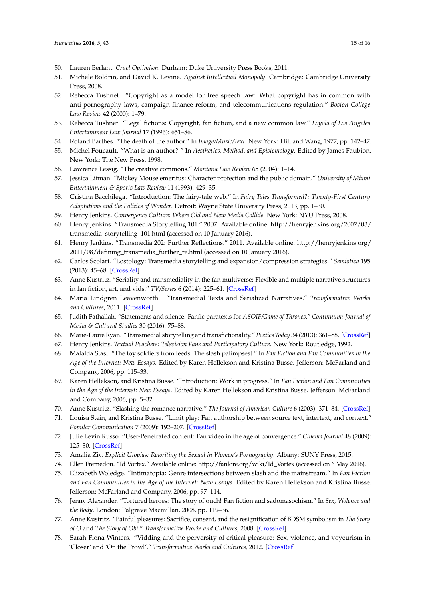- <span id="page-14-0"></span>50. Lauren Berlant. *Cruel Optimism*. Durham: Duke University Press Books, 2011.
- <span id="page-14-1"></span>51. Michele Boldrin, and David K. Levine. *Against Intellectual Monopoly*. Cambridge: Cambridge University Press, 2008.
- 52. Rebecca Tushnet. "Copyright as a model for free speech law: What copyright has in common with anti-pornography laws, campaign finance reform, and telecommunications regulation." *Boston College Law Review* 42 (2000): 1–79.
- <span id="page-14-2"></span>53. Rebecca Tushnet. "Legal fictions: Copyright, fan fiction, and a new common law." *Loyola of Los Angeles Entertainment Law Journal* 17 (1996): 651–86.
- <span id="page-14-3"></span>54. Roland Barthes. "The death of the author." In *Image/Music/Text*. New York: Hill and Wang, 1977, pp. 142–47.
- <span id="page-14-4"></span>55. Michel Foucault. "What is an author? " In *Aesthetics, Method, and Epistemology*. Edited by James Faubion. New York: The New Press, 1998.
- <span id="page-14-5"></span>56. Lawrence Lessig. "The creative commons." *Montana Law Review* 65 (2004): 1–14.
- <span id="page-14-6"></span>57. Jessica Litman. "Mickey Mouse emeritus: Character protection and the public domain." *University of Miami Entertainment & Sports Law Review* 11 (1993): 429–35.
- <span id="page-14-7"></span>58. Cristina Bacchilega. "Introduction: The fairy-tale web." In *Fairy Tales Transformed?: Twenty-First Century Adaptations and the Politics of Wonder*. Detroit: Wayne State University Press, 2013, pp. 1–30.
- <span id="page-14-8"></span>59. Henry Jenkins. *Convergence Culture: Where Old and New Media Collide*. New York: NYU Press, 2008.
- <span id="page-14-13"></span>60. Henry Jenkins. "Transmedia Storytelling 101." 2007. Available online: [http://henryjenkins.org/2007/03/](http://henryjenkins.org/2007/03/transmedia_storytelling_101.html) [transmedia\\_storytelling\\_101.html](http://henryjenkins.org/2007/03/transmedia_storytelling_101.html) (accessed on 10 January 2016).
- 61. Henry Jenkins. "Transmedia 202: Further Reflections." 2011. Available online: [http://henryjenkins.org/](http://henryjenkins.org/2011/08/defining_transmedia_further_re.html) [2011/08/defining\\_transmedia\\_further\\_re.html](http://henryjenkins.org/2011/08/defining_transmedia_further_re.html) (accessed on 10 January 2016).
- <span id="page-14-9"></span>62. Carlos Scolari. "Lostology: Transmedia storytelling and expansion/compression strategies." *Semiotica* 195 (2013): 45–68. [\[CrossRef\]](http://dx.doi.org/10.1515/sem-2013-0038)
- <span id="page-14-10"></span>63. Anne Kustritz. "Seriality and transmediality in the fan multiverse: Flexible and multiple narrative structures in fan fiction, art, and vids." *TV/Series* 6 (2014): 225–61. [\[CrossRef\]](http://dx.doi.org/10.4000/tvseries.331)
- <span id="page-14-11"></span>64. Maria Lindgren Leavenworth. "Transmedial Texts and Serialized Narratives." *Transformative Works and Cultures*, 2011. [\[CrossRef\]](http://dx.doi.org/10.3983/twc.2011.0361)
- <span id="page-14-12"></span>65. Judith Fathallah. "Statements and silence: Fanfic paratexts for *ASOIF/Game of Thrones*." *Continuum: Journal of Media & Cultural Studies* 30 (2016): 75–88.
- <span id="page-14-14"></span>66. Marie-Laure Ryan. "Transmedial storytelling and transfictionality." *Poetics Today* 34 (2013): 361–88. [\[CrossRef\]](http://dx.doi.org/10.1215/03335372-2325250)
- <span id="page-14-15"></span>67. Henry Jenkins. *Textual Poachers: Television Fans and Participatory Culture*. New York: Routledge, 1992.
- <span id="page-14-16"></span>68. Mafalda Stasi. "The toy soldiers from leeds: The slash palimpsest." In *Fan Fiction and Fan Communities in the Age of the Internet: New Essays*. Edited by Karen Hellekson and Kristina Busse. Jefferson: McFarland and Company, 2006, pp. 115–33.
- <span id="page-14-17"></span>69. Karen Hellekson, and Kristina Busse. "Introduction: Work in progress." In *Fan Fiction and Fan Communities in the Age of the Internet: New Essays*. Edited by Karen Hellekson and Kristina Busse. Jefferson: McFarland and Company, 2006, pp. 5–32.
- <span id="page-14-20"></span>70. Anne Kustritz. "Slashing the romance narrative." *The Journal of American Culture* 6 (2003): 371–84. [\[CrossRef\]](http://dx.doi.org/10.1111/1542-734X.00098)
- <span id="page-14-23"></span>71. Louisa Stein, and Kristina Busse. "Limit play: Fan authorship between source text, intertext, and context." *Popular Communication* 7 (2009): 192–207. [\[CrossRef\]](http://dx.doi.org/10.1080/15405700903177545)
- <span id="page-14-18"></span>72. Julie Levin Russo. "User-Penetrated content: Fan video in the age of convergence." *Cinema Journal* 48 (2009): 125–30. [\[CrossRef\]](http://dx.doi.org/10.1353/cj.0.0147)
- <span id="page-14-19"></span>73. Amalia Ziv. *Explicit Utopias: Rewriting the Sexual in Women's Pornography*. Albany: SUNY Press, 2015.
- <span id="page-14-21"></span>74. Ellen Fremedon. "Id Vortex." Available online: [http://fanlore.org/wiki/Id\\_Vortex](http://fanlore.org/wiki/Id_Vortex) (accessed on 6 May 2016).
- <span id="page-14-22"></span>75. Elizabeth Woledge. "Intimatopia: Genre intersections between slash and the mainstream." In *Fan Fiction and Fan Communities in the Age of the Internet: New Essays*. Edited by Karen Hellekson and Kristina Busse. Jefferson: McFarland and Company, 2006, pp. 97–114.
- <span id="page-14-24"></span>76. Jenny Alexander. "Tortured heroes: The story of ouch! Fan fiction and sadomasochism." In *Sex, Violence and the Body*. London: Palgrave Macmillan, 2008, pp. 119–36.
- 77. Anne Kustritz. "Painful pleasures: Sacrifice, consent, and the resignification of BDSM symbolism in *The Story of O* and *The Story of Obi*." *Transformative Works and Cultures*, 2008. [\[CrossRef\]](http://dx.doi.org/10.3983/twc.2008.0031)
- <span id="page-14-25"></span>78. Sarah Fiona Winters. "Vidding and the perversity of critical pleasure: Sex, violence, and voyeurism in 'Closer' and 'On the Prowl'." *Transformative Works and Cultures*, 2012. [\[CrossRef\]](http://dx.doi.org/10.3983/twc.2012.0292)